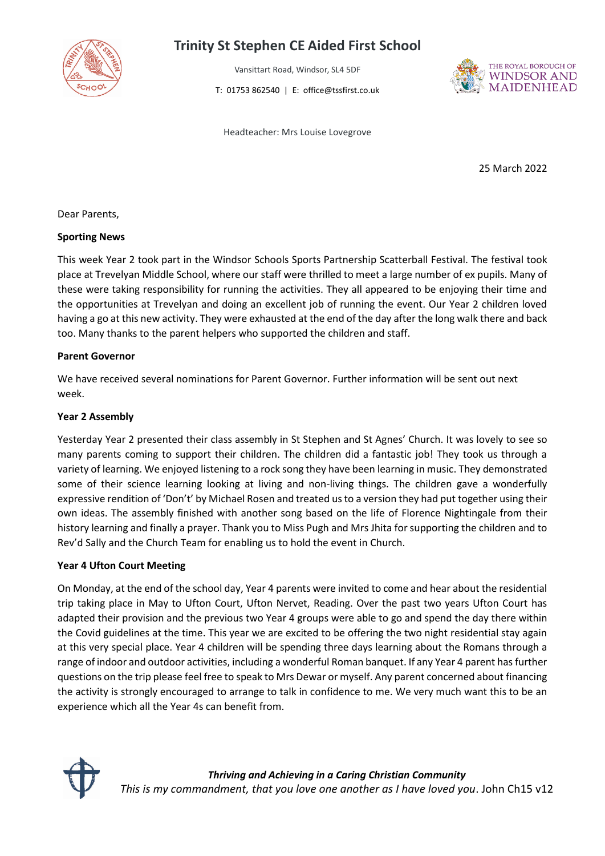

# **Trinity St Stephen CE Aided First School**

Vansittart Road, Windsor, SL4 5DF

T: 01753 862540 | E: office@tssfirst.co.uk



Headteacher: Mrs Louise Lovegrove

25 March 2022

Dear Parents,

#### **Sporting News**

This week Year 2 took part in the Windsor Schools Sports Partnership Scatterball Festival. The festival took place at Trevelyan Middle School, where our staff were thrilled to meet a large number of ex pupils. Many of these were taking responsibility for running the activities. They all appeared to be enjoying their time and the opportunities at Trevelyan and doing an excellent job of running the event. Our Year 2 children loved having a go at this new activity. They were exhausted at the end of the day after the long walk there and back too. Many thanks to the parent helpers who supported the children and staff.

### **Parent Governor**

We have received several nominations for Parent Governor. Further information will be sent out next week.

### **Year 2 Assembly**

Yesterday Year 2 presented their class assembly in St Stephen and St Agnes' Church. It was lovely to see so many parents coming to support their children. The children did a fantastic job! They took us through a variety of learning. We enjoyed listening to a rock song they have been learning in music. They demonstrated some of their science learning looking at living and non-living things. The children gave a wonderfully expressive rendition of 'Don't' by Michael Rosen and treated us to a version they had put together using their own ideas. The assembly finished with another song based on the life of Florence Nightingale from their history learning and finally a prayer. Thank you to Miss Pugh and Mrs Jhita for supporting the children and to Rev'd Sally and the Church Team for enabling us to hold the event in Church.

#### **Year 4 Ufton Court Meeting**

On Monday, at the end of the school day, Year 4 parents were invited to come and hear about the residential trip taking place in May to Ufton Court, Ufton Nervet, Reading. Over the past two years Ufton Court has adapted their provision and the previous two Year 4 groups were able to go and spend the day there within the Covid guidelines at the time. This year we are excited to be offering the two night residential stay again at this very special place. Year 4 children will be spending three days learning about the Romans through a range of indoor and outdoor activities, including a wonderful Roman banquet. If any Year 4 parent has further questions on the trip please feel free to speak to Mrs Dewar or myself. Any parent concerned about financing the activity is strongly encouraged to arrange to talk in confidence to me. We very much want this to be an experience which all the Year 4s can benefit from.

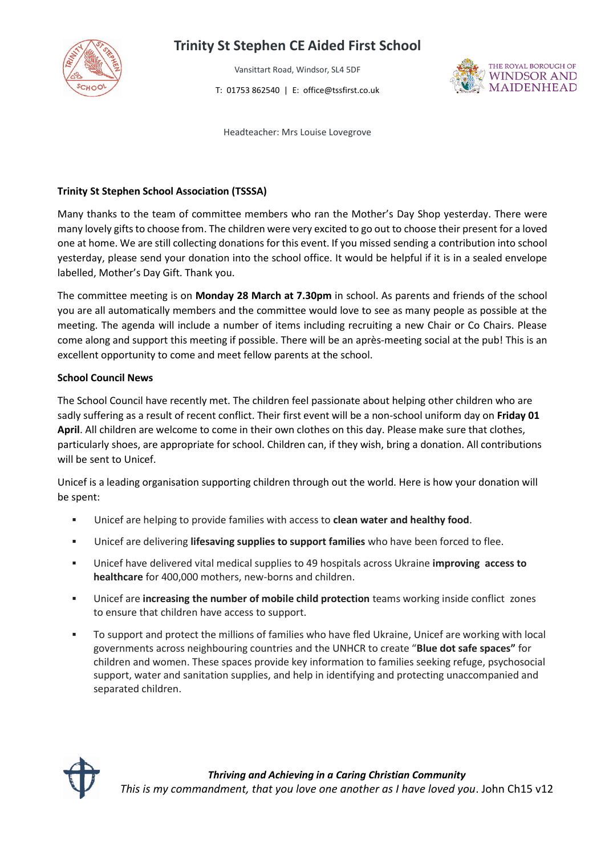

# **Trinity St Stephen CE Aided First School**

Vansittart Road, Windsor, SL4 5DF

T: 01753 862540 | E: office@tssfirst.co.uk



Headteacher: Mrs Louise Lovegrove

#### **Trinity St Stephen School Association (TSSSA)**

Many thanks to the team of committee members who ran the Mother's Day Shop yesterday. There were many lovely gifts to choose from. The children were very excited to go out to choose their present for a loved one at home. We are still collecting donations for this event. If you missed sending a contribution into school yesterday, please send your donation into the school office. It would be helpful if it is in a sealed envelope labelled, Mother's Day Gift. Thank you.

The committee meeting is on **Monday 28 March at 7.30pm** in school. As parents and friends of the school you are all automatically members and the committee would love to see as many people as possible at the meeting. The agenda will include a number of items including recruiting a new Chair or Co Chairs. Please come along and support this meeting if possible. There will be an après-meeting social at the pub! This is an excellent opportunity to come and meet fellow parents at the school.

#### **School Council News**

The School Council have recently met. The children feel passionate about helping other children who are sadly suffering as a result of recent conflict. Their first event will be a non-school uniform day on **Friday 01 April**. All children are welcome to come in their own clothes on this day. Please make sure that clothes, particularly shoes, are appropriate for school. Children can, if they wish, bring a donation. All contributions will be sent to Unicef.

Unicef is a leading organisation supporting children through out the world. Here is how your donation will be spent:

- Unicef are helping to provide families with access to **clean water and healthy food**.
- Unicef are delivering **lifesaving supplies to support families** who have been forced to flee.
- Unicef have delivered vital medical supplies to 49 hospitals across Ukraine **improving access to healthcare** for 400,000 mothers, new-borns and children.
- Unicef are **increasing the number of mobile child protection** teams working inside conflict zones to ensure that children have access to support.
- To support and protect the millions of families who have fled Ukraine, Unicef are working with local governments across neighbouring countries and the UNHCR to create "**Blue dot safe spaces"** for children and women. These spaces provide key information to families seeking refuge, psychosocial support, water and sanitation supplies, and help in identifying and protecting unaccompanied and separated children.